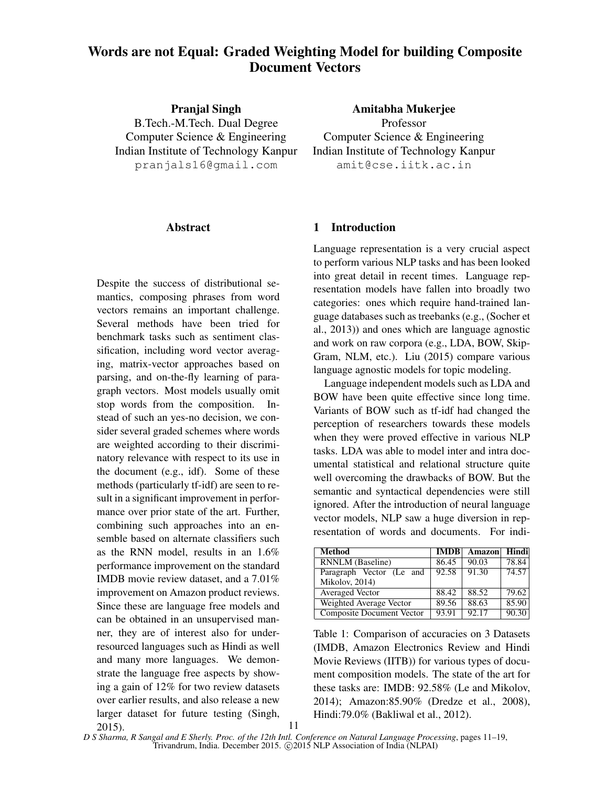# Words are not Equal: Graded Weighting Model for building Composite Document Vectors

Pranjal Singh B.Tech.-M.Tech. Dual Degree Computer Science & Engineering Indian Institute of Technology Kanpur pranjals16@gmail.com

Amitabha Mukerjee

Professor Computer Science & Engineering Indian Institute of Technology Kanpur amit@cse.iitk.ac.in

#### Abstract

Despite the success of distributional semantics, composing phrases from word vectors remains an important challenge. Several methods have been tried for benchmark tasks such as sentiment classification, including word vector averaging, matrix-vector approaches based on parsing, and on-the-fly learning of paragraph vectors. Most models usually omit stop words from the composition. Instead of such an yes-no decision, we consider several graded schemes where words are weighted according to their discriminatory relevance with respect to its use in the document (e.g., idf). Some of these methods (particularly tf-idf) are seen to result in a significant improvement in performance over prior state of the art. Further, combining such approaches into an ensemble based on alternate classifiers such as the RNN model, results in an 1.6% performance improvement on the standard IMDB movie review dataset, and a 7.01% improvement on Amazon product reviews. Since these are language free models and can be obtained in an unsupervised manner, they are of interest also for underresourced languages such as Hindi as well and many more languages. We demonstrate the language free aspects by showing a gain of 12% for two review datasets over earlier results, and also release a new larger dataset for future testing (Singh,

#### 1 Introduction

Language representation is a very crucial aspect to perform various NLP tasks and has been looked into great detail in recent times. Language representation models have fallen into broadly two categories: ones which require hand-trained language databases such as treebanks (e.g., (Socher et al., 2013)) and ones which are language agnostic and work on raw corpora (e.g., LDA, BOW, Skip-Gram, NLM, etc.). Liu (2015) compare various language agnostic models for topic modeling.

Language independent models such as LDA and BOW have been quite effective since long time. Variants of BOW such as tf-idf had changed the perception of researchers towards these models when they were proved effective in various NLP tasks. LDA was able to model inter and intra documental statistical and relational structure quite well overcoming the drawbacks of BOW. But the semantic and syntactical dependencies were still ignored. After the introduction of neural language vector models, NLP saw a huge diversion in representation of words and documents. For indi-

| <b>Method</b>             | <b>IMDB</b> | Amazon | Hindi |
|---------------------------|-------------|--------|-------|
| <b>RNNLM</b> (Baseline)   | 86.45       | 90.03  | 78.84 |
| Paragraph Vector (Le and  | 92.58       | 91.30  | 74.57 |
| Mikolov, 2014)            |             |        |       |
| Averaged Vector           | 88.42       | 88.52  | 79.62 |
| Weighted Average Vector   | 89.56       | 88.63  | 85.90 |
| Composite Document Vector | 93.91       | 92.17  | 90.30 |

Table 1: Comparison of accuracies on 3 Datasets (IMDB, Amazon Electronics Review and Hindi Movie Reviews (IITB)) for various types of document composition models. The state of the art for these tasks are: IMDB: 92.58% (Le and Mikolov, 2014); Amazon:85.90% (Dredze et al., 2008), Hindi:79.0% (Bakliwal et al., 2012).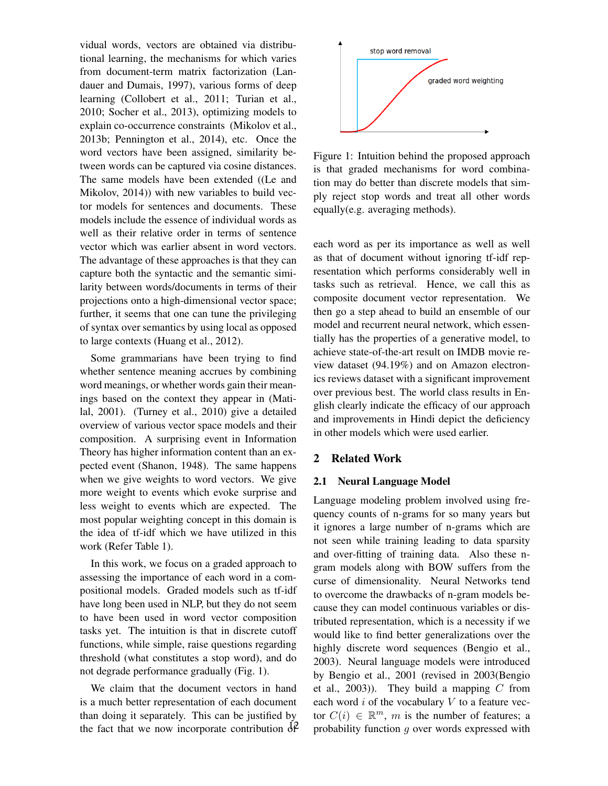vidual words, vectors are obtained via distributional learning, the mechanisms for which varies from document-term matrix factorization (Landauer and Dumais, 1997), various forms of deep learning (Collobert et al., 2011; Turian et al., 2010; Socher et al., 2013), optimizing models to explain co-occurrence constraints (Mikolov et al., 2013b; Pennington et al., 2014), etc. Once the word vectors have been assigned, similarity between words can be captured via cosine distances. The same models have been extended ((Le and Mikolov, 2014)) with new variables to build vector models for sentences and documents. These models include the essence of individual words as well as their relative order in terms of sentence vector which was earlier absent in word vectors. The advantage of these approaches is that they can capture both the syntactic and the semantic similarity between words/documents in terms of their projections onto a high-dimensional vector space; further, it seems that one can tune the privileging of syntax over semantics by using local as opposed to large contexts (Huang et al., 2012).

Some grammarians have been trying to find whether sentence meaning accrues by combining word meanings, or whether words gain their meanings based on the context they appear in (Matilal, 2001). (Turney et al., 2010) give a detailed overview of various vector space models and their composition. A surprising event in Information Theory has higher information content than an expected event (Shanon, 1948). The same happens when we give weights to word vectors. We give more weight to events which evoke surprise and less weight to events which are expected. The most popular weighting concept in this domain is the idea of tf-idf which we have utilized in this work (Refer Table 1).

In this work, we focus on a graded approach to assessing the importance of each word in a compositional models. Graded models such as tf-idf have long been used in NLP, but they do not seem to have been used in word vector composition tasks yet. The intuition is that in discrete cutoff functions, while simple, raise questions regarding threshold (what constitutes a stop word), and do not degrade performance gradually (Fig. 1).

We claim that the document vectors in hand is a much better representation of each document than doing it separately. This can be justified by the fact that we now incorporate contribution  $\hat{d}$ 



Figure 1: Intuition behind the proposed approach is that graded mechanisms for word combination may do better than discrete models that simply reject stop words and treat all other words equally(e.g. averaging methods).

each word as per its importance as well as well as that of document without ignoring tf-idf representation which performs considerably well in tasks such as retrieval. Hence, we call this as composite document vector representation. We then go a step ahead to build an ensemble of our model and recurrent neural network, which essentially has the properties of a generative model, to achieve state-of-the-art result on IMDB movie review dataset (94.19%) and on Amazon electronics reviews dataset with a significant improvement over previous best. The world class results in English clearly indicate the efficacy of our approach and improvements in Hindi depict the deficiency in other models which were used earlier.

## 2 Related Work

#### 2.1 Neural Language Model

Language modeling problem involved using frequency counts of n-grams for so many years but it ignores a large number of n-grams which are not seen while training leading to data sparsity and over-fitting of training data. Also these ngram models along with BOW suffers from the curse of dimensionality. Neural Networks tend to overcome the drawbacks of n-gram models because they can model continuous variables or distributed representation, which is a necessity if we would like to find better generalizations over the highly discrete word sequences (Bengio et al., 2003). Neural language models were introduced by Bengio et al., 2001 (revised in 2003(Bengio et al., 2003)). They build a mapping  $C$  from each word  $i$  of the vocabulary  $V$  to a feature vector  $C(i) \in \mathbb{R}^m$ , m is the number of features; a probability function g over words expressed with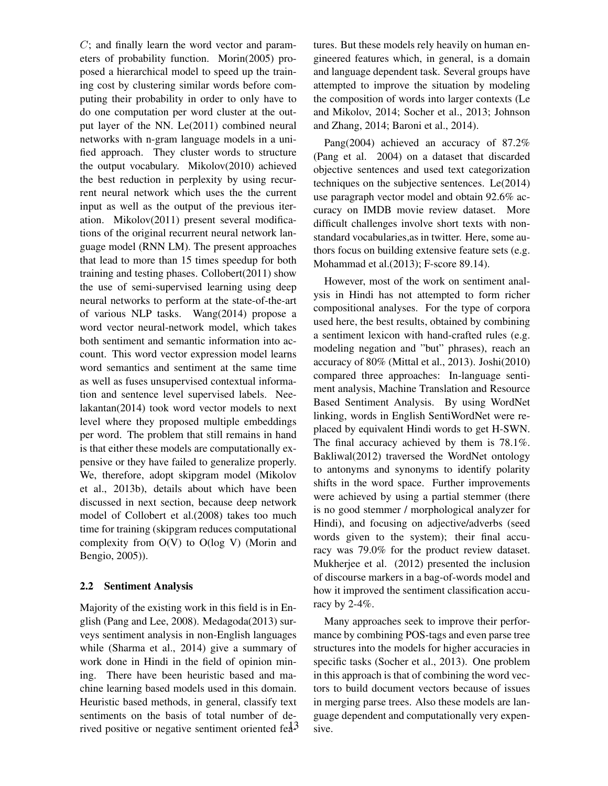C; and finally learn the word vector and parameters of probability function. Morin(2005) proposed a hierarchical model to speed up the training cost by clustering similar words before computing their probability in order to only have to do one computation per word cluster at the output layer of the NN. Le(2011) combined neural networks with n-gram language models in a unified approach. They cluster words to structure the output vocabulary. Mikolov(2010) achieved the best reduction in perplexity by using recurrent neural network which uses the the current input as well as the output of the previous iteration. Mikolov(2011) present several modifications of the original recurrent neural network language model (RNN LM). The present approaches that lead to more than 15 times speedup for both training and testing phases. Collobert(2011) show the use of semi-supervised learning using deep neural networks to perform at the state-of-the-art of various NLP tasks. Wang(2014) propose a word vector neural-network model, which takes both sentiment and semantic information into account. This word vector expression model learns word semantics and sentiment at the same time as well as fuses unsupervised contextual information and sentence level supervised labels. Neelakantan(2014) took word vector models to next level where they proposed multiple embeddings per word. The problem that still remains in hand is that either these models are computationally expensive or they have failed to generalize properly. We, therefore, adopt skipgram model (Mikolov et al., 2013b), details about which have been discussed in next section, because deep network model of Collobert et al.(2008) takes too much time for training (skipgram reduces computational complexity from O(V) to O(log V) (Morin and Bengio, 2005)).

## 2.2 Sentiment Analysis

Majority of the existing work in this field is in English (Pang and Lee, 2008). Medagoda(2013) surveys sentiment analysis in non-English languages while (Sharma et al., 2014) give a summary of work done in Hindi in the field of opinion mining. There have been heuristic based and machine learning based models used in this domain. Heuristic based methods, in general, classify text sentiments on the basis of total number of derived positive or negative sentiment oriented  $\text{fed}^3$  tures. But these models rely heavily on human engineered features which, in general, is a domain and language dependent task. Several groups have attempted to improve the situation by modeling the composition of words into larger contexts (Le and Mikolov, 2014; Socher et al., 2013; Johnson and Zhang, 2014; Baroni et al., 2014).

Pang(2004) achieved an accuracy of 87.2% (Pang et al. 2004) on a dataset that discarded objective sentences and used text categorization techniques on the subjective sentences. Le(2014) use paragraph vector model and obtain 92.6% accuracy on IMDB movie review dataset. More difficult challenges involve short texts with nonstandard vocabularies,as in twitter. Here, some authors focus on building extensive feature sets (e.g. Mohammad et al.(2013); F-score 89.14).

However, most of the work on sentiment analysis in Hindi has not attempted to form richer compositional analyses. For the type of corpora used here, the best results, obtained by combining a sentiment lexicon with hand-crafted rules (e.g. modeling negation and "but" phrases), reach an accuracy of 80% (Mittal et al., 2013). Joshi(2010) compared three approaches: In-language sentiment analysis, Machine Translation and Resource Based Sentiment Analysis. By using WordNet linking, words in English SentiWordNet were replaced by equivalent Hindi words to get H-SWN. The final accuracy achieved by them is 78.1%. Bakliwal(2012) traversed the WordNet ontology to antonyms and synonyms to identify polarity shifts in the word space. Further improvements were achieved by using a partial stemmer (there is no good stemmer / morphological analyzer for Hindi), and focusing on adjective/adverbs (seed words given to the system); their final accuracy was 79.0% for the product review dataset. Mukherjee et al. (2012) presented the inclusion of discourse markers in a bag-of-words model and how it improved the sentiment classification accuracy by 2-4%.

Many approaches seek to improve their performance by combining POS-tags and even parse tree structures into the models for higher accuracies in specific tasks (Socher et al., 2013). One problem in this approach is that of combining the word vectors to build document vectors because of issues in merging parse trees. Also these models are language dependent and computationally very expensive.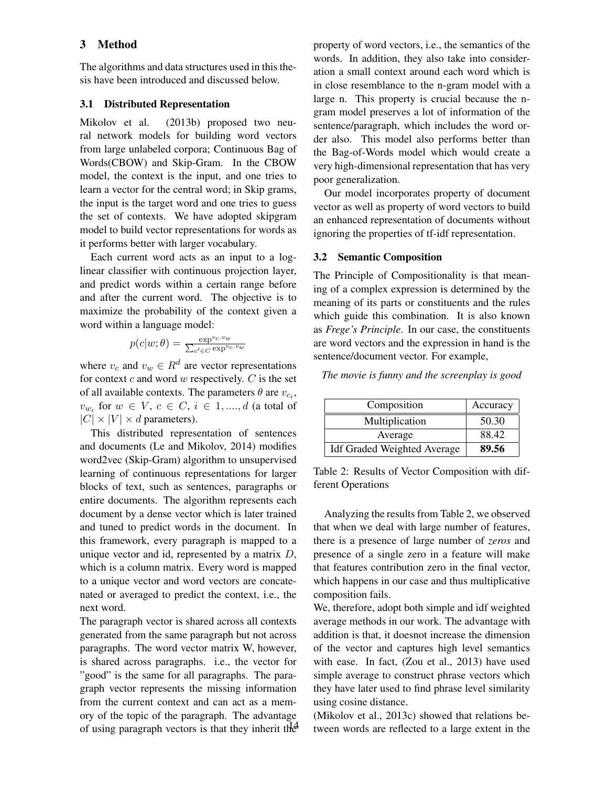# 3 Method

The algorithms and data structures used in this thesis have been introduced and discussed below.

## 3.1 Distributed Representation

Mikolov et al. (2013b) proposed two neural network models for building word vectors from large unlabeled corpora; Continuous Bag of Words(CBOW) and Skip-Gram. In the CBOW model, the context is the input, and one tries to learn a vector for the central word; in Skip grams, the input is the target word and one tries to guess the set of contexts. We have adopted skipgram model to build vector representations for words as it performs better with larger vocabulary.

Each current word acts as an input to a loglinear classifier with continuous projection layer, and predict words within a certain range before and after the current word. The objective is to maximize the probability of the context given a word within a language model:

$$
p(c|w;\theta) = \frac{\exp^{v_c.v_w}}{\sum_{c' \in C} \exp^{v_c.v_w}}
$$

where  $v_c$  and  $v_w \in R^d$  are vector representations for context  $c$  and word  $w$  respectively.  $C$  is the set of all available contexts. The parameters  $\theta$  are  $v_{c_i}$ ,  $v_{w_i}$  for  $w \in V, c \in C, i \in 1, ..., d$  (a total of  $|C| \times |V| \times d$  parameters).

This distributed representation of sentences and documents (Le and Mikolov, 2014) modifies word2vec (Skip-Gram) algorithm to unsupervised learning of continuous representations for larger blocks of text, such as sentences, paragraphs or entire documents. The algorithm represents each document by a dense vector which is later trained and tuned to predict words in the document. In this framework, every paragraph is mapped to a unique vector and id, represented by a matrix  $D$ , which is a column matrix. Every word is mapped to a unique vector and word vectors are concatenated or averaged to predict the context, i.e., the next word.

The paragraph vector is shared across all contexts generated from the same paragraph but not across paragraphs. The word vector matrix W, however, is shared across paragraphs. i.e., the vector for "good" is the same for all paragraphs. The paragraph vector represents the missing information from the current context and can act as a memory of the topic of the paragraph. The advantage of using paragraph vectors is that they inherit the property of word vectors, i.e., the semantics of the words. In addition, they also take into consideration a small context around each word which is in close resemblance to the n-gram model with a large n. This property is crucial because the ngram model preserves a lot of information of the sentence/paragraph, which includes the word order also. This model also performs better than the Bag-of-Words model which would create a very high-dimensional representation that has very poor generalization.

Our model incorporates property of document vector as well as property of word vectors to build an enhanced representation of documents without ignoring the properties of tf-idf representation.

## 3.2 Semantic Composition

The Principle of Compositionality is that meaning of a complex expression is determined by the meaning of its parts or constituents and the rules which guide this combination. It is also known as *Frege's Principle*. In our case, the constituents are word vectors and the expression in hand is the sentence/document vector. For example,

*The movie is funny and the screenplay is good*

| Composition                        | Accuracy |
|------------------------------------|----------|
| Multiplication                     | 50.30    |
| Average                            | 88.42    |
| <b>Idf Graded Weighted Average</b> | 89.56    |

Table 2: Results of Vector Composition with different Operations

Analyzing the results from Table 2, we observed that when we deal with large number of features, there is a presence of large number of *zeros* and presence of a single zero in a feature will make that features contribution zero in the final vector, which happens in our case and thus multiplicative composition fails.

We, therefore, adopt both simple and idf weighted average methods in our work. The advantage with addition is that, it doesnot increase the dimension of the vector and captures high level semantics with ease. In fact, (Zou et al., 2013) have used simple average to construct phrase vectors which they have later used to find phrase level similarity using cosine distance.

(Mikolov et al., 2013c) showed that relations between words are reflected to a large extent in the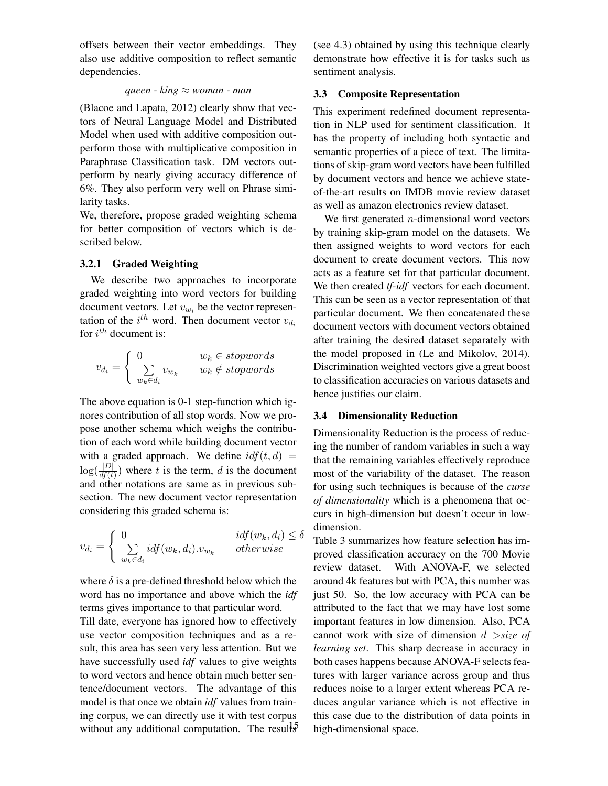offsets between their vector embeddings. They also use additive composition to reflect semantic dependencies.

#### *queen - king* ≈ *woman - man*

(Blacoe and Lapata, 2012) clearly show that vectors of Neural Language Model and Distributed Model when used with additive composition outperform those with multiplicative composition in Paraphrase Classification task. DM vectors outperform by nearly giving accuracy difference of 6%. They also perform very well on Phrase similarity tasks.

We, therefore, propose graded weighting schema for better composition of vectors which is described below.

## 3.2.1 Graded Weighting

We describe two approaches to incorporate graded weighting into word vectors for building document vectors. Let  $v_{w_i}$  be the vector representation of the  $i^{th}$  word. Then document vector  $v_{d_i}$ for  $i^{th}$  document is:

$$
v_{d_i} = \left\{ \begin{array}{ll} 0 & w_k \in \textit{stopwords} \\ \sum\limits_{w_k \in d_i} v_{w_k} & w_k \notin \textit{stopwords} \end{array} \right.
$$

The above equation is 0-1 step-function which ignores contribution of all stop words. Now we propose another schema which weighs the contribution of each word while building document vector with a graded approach. We define  $\mathrm{id} f(t, d) =$  $\log(\frac{|D|}{df(t)})$  where t is the term, d is the document and other notations are same as in previous subsection. The new document vector representation considering this graded schema is:

$$
v_{d_i} = \begin{cases} 0 & idf(w_k, d_i) \le \delta \\ \sum_{w_k \in d_i} idf(w_k, d_i). v_{w_k} & otherwise \end{cases}
$$

where  $\delta$  is a pre-defined threshold below which the word has no importance and above which the *idf* terms gives importance to that particular word.

Till date, everyone has ignored how to effectively use vector composition techniques and as a result, this area has seen very less attention. But we have successfully used *idf* values to give weights to word vectors and hence obtain much better sentence/document vectors. The advantage of this model is that once we obtain *idf* values from training corpus, we can directly use it with test corpus without any additional computation. The results (see 4.3) obtained by using this technique clearly demonstrate how effective it is for tasks such as sentiment analysis.

## 3.3 Composite Representation

This experiment redefined document representation in NLP used for sentiment classification. It has the property of including both syntactic and semantic properties of a piece of text. The limitations of skip-gram word vectors have been fulfilled by document vectors and hence we achieve stateof-the-art results on IMDB movie review dataset as well as amazon electronics review dataset.

We first generated  $n$ -dimensional word vectors by training skip-gram model on the datasets. We then assigned weights to word vectors for each document to create document vectors. This now acts as a feature set for that particular document. We then created *tf-idf* vectors for each document. This can be seen as a vector representation of that particular document. We then concatenated these document vectors with document vectors obtained after training the desired dataset separately with the model proposed in (Le and Mikolov, 2014). Discrimination weighted vectors give a great boost to classification accuracies on various datasets and hence justifies our claim.

# 3.4 Dimensionality Reduction

Dimensionality Reduction is the process of reducing the number of random variables in such a way that the remaining variables effectively reproduce most of the variability of the dataset. The reason for using such techniques is because of the *curse of dimensionality* which is a phenomena that occurs in high-dimension but doesn't occur in lowdimension.

Table 3 summarizes how feature selection has improved classification accuracy on the 700 Movie review dataset. With ANOVA-F, we selected around 4k features but with PCA, this number was just 50. So, the low accuracy with PCA can be attributed to the fact that we may have lost some important features in low dimension. Also, PCA cannot work with size of dimension d >*size of learning set*. This sharp decrease in accuracy in both cases happens because ANOVA-F selects features with larger variance across group and thus reduces noise to a larger extent whereas PCA reduces angular variance which is not effective in this case due to the distribution of data points in high-dimensional space.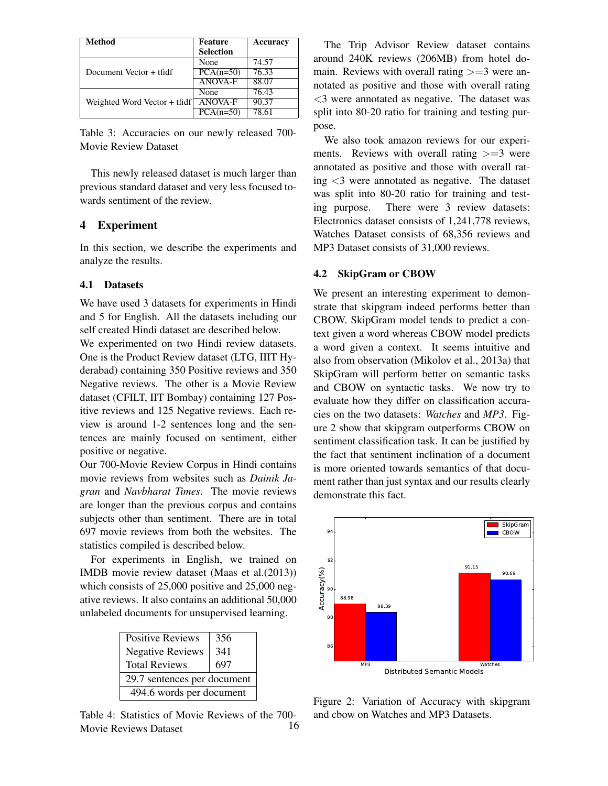| <b>Method</b>                | <b>Feature</b><br><b>Selection</b> | Accuracy           |
|------------------------------|------------------------------------|--------------------|
|                              | None                               | 74.57              |
| Document Vector + tfidf      | $PCA(n=50)$                        | $76.\overline{33}$ |
|                              | <b>ANOVA-F</b>                     | 88.07              |
| Weighted Word Vector + tfidf | None                               | 76.43              |
|                              | <b>ANOVA-F</b>                     | 90.37              |
|                              | $PCA(n=50)$                        | 78.61              |

Table 3: Accuracies on our newly released 700- Movie Review Dataset

This newly released dataset is much larger than previous standard dataset and very less focused towards sentiment of the review.

# 4 Experiment

In this section, we describe the experiments and analyze the results.

## 4.1 Datasets

We have used 3 datasets for experiments in Hindi and 5 for English. All the datasets including our self created Hindi dataset are described below.

We experimented on two Hindi review datasets. One is the Product Review dataset (LTG, IIIT Hyderabad) containing 350 Positive reviews and 350 Negative reviews. The other is a Movie Review dataset (CFILT, IIT Bombay) containing 127 Positive reviews and 125 Negative reviews. Each review is around 1-2 sentences long and the sentences are mainly focused on sentiment, either positive or negative.

Our 700-Movie Review Corpus in Hindi contains movie reviews from websites such as *Dainik Jagran* and *Navbharat Times*. The movie reviews are longer than the previous corpus and contains subjects other than sentiment. There are in total 697 movie reviews from both the websites. The statistics compiled is described below.

For experiments in English, we trained on IMDB movie review dataset (Maas et al.(2013)) which consists of 25,000 positive and 25,000 negative reviews. It also contains an additional 50,000 unlabeled documents for unsupervised learning.

| <b>Positive Reviews</b>     | 356 |  |
|-----------------------------|-----|--|
| <b>Negative Reviews</b>     | 341 |  |
| <b>Total Reviews</b>        | 697 |  |
| 29.7 sentences per document |     |  |
| 494.6 words per document    |     |  |
|                             |     |  |

Table 4: Statistics of Movie Reviews of the 700- Movie Reviews Dataset 16

The Trip Advisor Review dataset contains around 240K reviews (206MB) from hotel domain. Reviews with overall rating  $\geq =3$  were annotated as positive and those with overall rating <3 were annotated as negative. The dataset was split into 80-20 ratio for training and testing purpose.

We also took amazon reviews for our experiments. Reviews with overall rating  $>=3$  were annotated as positive and those with overall rating <3 were annotated as negative. The dataset was split into 80-20 ratio for training and testing purpose. There were 3 review datasets: Electronics dataset consists of 1,241,778 reviews, Watches Dataset consists of 68,356 reviews and MP3 Dataset consists of 31,000 reviews.

#### 4.2 SkipGram or CBOW

We present an interesting experiment to demonstrate that skipgram indeed performs better than CBOW. SkipGram model tends to predict a context given a word whereas CBOW model predicts a word given a context. It seems intuitive and also from observation (Mikolov et al., 2013a) that SkipGram will perform better on semantic tasks and CBOW on syntactic tasks. We now try to evaluate how they differ on classification accuracies on the two datasets: *Watches* and *MP3*. Figure 2 show that skipgram outperforms CBOW on sentiment classification task. It can be justified by the fact that sentiment inclination of a document is more oriented towards semantics of that document rather than just syntax and our results clearly demonstrate this fact.



Figure 2: Variation of Accuracy with skipgram and cbow on Watches and MP3 Datasets.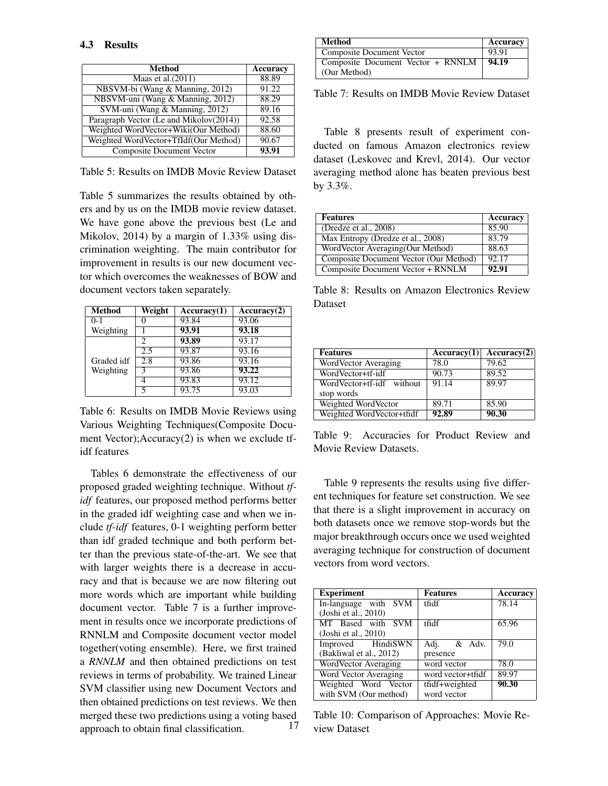| Method                                  | <b>Accuracy</b> |
|-----------------------------------------|-----------------|
| Maas et al. $(2011)$                    | 88.89           |
| NBSVM-bi (Wang & Manning, 2012)         | 91.22           |
| NBSVM-uni (Wang & Manning, 2012)        | 88.29           |
| SVM-uni (Wang & Manning, 2012)          | 89.16           |
| Paragraph Vector (Le and Mikolov(2014)) | 92.58           |
| Weighted WordVector+Wiki(Our Method)    | 88.60           |
| Weighted WordVector+TfIdf(Our Method)   | 90.67           |
| <b>Composite Document Vector</b>        | 93.91           |

Table 5: Results on IMDB Movie Review Dataset

Table 5 summarizes the results obtained by others and by us on the IMDB movie review dataset. We have gone above the previous best (Le and Mikolov, 2014) by a margin of 1.33% using discrimination weighting. The main contributor for improvement in results is our new document vector which overcomes the weaknesses of BOW and document vectors taken separately.

| <b>Method</b> | Weight                      | Accuracy(1) | Accuracy(2) |
|---------------|-----------------------------|-------------|-------------|
| $0 - 1$       |                             | 93.84       | 93.06       |
| Weighting     |                             | 93.91       | 93.18       |
|               | $\mathcal{D}_{\mathcal{A}}$ | 93.89       | 93.17       |
|               | 2.5                         | 93.87       | 93.16       |
| Graded idf    | $2.\overline{8}$            | 93.86       | 93.16       |
| Weighting     |                             | 93.86       | 93.22       |
|               |                             | 93.83       | 93.12       |
|               |                             | 93.75       | 93.03       |

Table 6: Results on IMDB Movie Reviews using Various Weighting Techniques(Composite Document Vector);Accuracy(2) is when we exclude tfidf features

Tables 6 demonstrate the effectiveness of our proposed graded weighting technique. Without *tfidf* features, our proposed method performs better in the graded idf weighting case and when we include *tf-idf* features, 0-1 weighting perform better than idf graded technique and both perform better than the previous state-of-the-art. We see that with larger weights there is a decrease in accuracy and that is because we are now filtering out more words which are important while building document vector. Table 7 is a further improvement in results once we incorporate predictions of RNNLM and Composite document vector model together(voting ensemble). Here, we first trained a *RNNLM* and then obtained predictions on test reviews in terms of probability. We trained Linear SVM classifier using new Document Vectors and then obtained predictions on test reviews. We then merged these two predictions using a voting based approach to obtain final classification. 17

| Method                            | Accuracy |
|-----------------------------------|----------|
| Composite Document Vector         | 93.91    |
| Composite Document Vector + RNNLM | 94.19    |
| (Our Method)                      |          |

Table 7: Results on IMDB Movie Review Dataset

Table 8 presents result of experiment conducted on famous Amazon electronics review dataset (Leskovec and Krevl, 2014). Our vector averaging method alone has beaten previous best by 3.3%.

| <b>Features</b>                        | Accuracy |
|----------------------------------------|----------|
| (Dredze et al., 2008)                  | 85.90    |
| Max Entropy (Dredze et al., 2008)      | 83.79    |
| WordVector Averaging(Our Method)       | 88.63    |
| Composite Document Vector (Our Method) | 92.17    |
| Composite Document Vector + RNNLM      | 92.91    |

Table 8: Results on Amazon Electronics Review Dataset

| <b>Features</b>           | Accuracy(1) | Accuracy(2) |
|---------------------------|-------------|-------------|
| WordVector Averaging      | 78.0        | 79.62       |
| WordVector+tf-idf         | 90.73       | 89.52       |
| WordVector+tf-idf without | 91.14       | 89.97       |
| stop words                |             |             |
| Weighted WordVector       | 89.71       | 85.90       |
| Weighted WordVector+tfidf | 92.89       | 90.30       |

Table 9: Accuracies for Product Review and Movie Review Datasets.

Table 9 represents the results using five different techniques for feature set construction. We see that there is a slight improvement in accuracy on both datasets once we remove stop-words but the major breakthrough occurs once we used weighted averaging technique for construction of document vectors from word vectors.

| <b>Experiment</b>       | <b>Features</b>   | Accuracy |
|-------------------------|-------------------|----------|
| In-language with SVM    | tfidf             | 78.14    |
| (Joshi et al., 2010)    |                   |          |
| MT Based with SVM       | tfidf             | 65.96    |
| (Joshi et al., 2010)    |                   |          |
| Improved HindiSWN       | Adj. & Adv.       | 79.0     |
| (Bakliwal et al., 2012) | presence          |          |
| WordVector Averaging    | word vector       | 78.0     |
| Word Vector Averaging   | word vector+tfidf | 89.97    |
| Weighted Word Vector    | tfidf+weighted    | 90.30    |
| with SVM (Our method)   | word vector       |          |

Table 10: Comparison of Approaches: Movie Review Dataset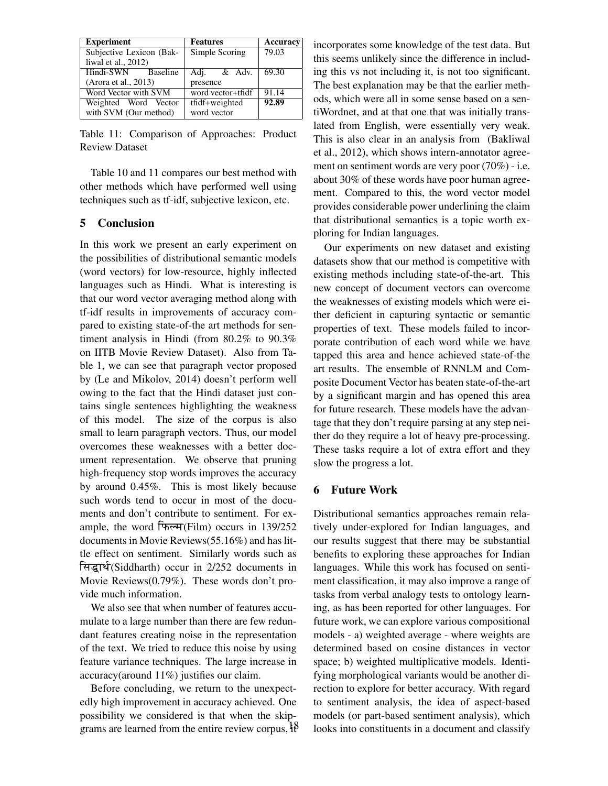| <b>Experiment</b>        | <b>Features</b>   | Accuracy |
|--------------------------|-------------------|----------|
| Subjective Lexicon (Bak- | Simple Scoring    | 79.03    |
| liwal et al., $2012$ )   |                   |          |
| Hindi-SWN Baseline       | Adj. & Adv.       | 69.30    |
| (Arora et al., 2013)     | presence          |          |
| Word Vector with SVM     | word vector+tfidf | 91.14    |
| Weighted Word Vector     | tfidf+weighted    | 92.89    |
| with SVM (Our method)    | word vector       |          |

Table 11: Comparison of Approaches: Product Review Dataset

Table 10 and 11 compares our best method with other methods which have performed well using techniques such as tf-idf, subjective lexicon, etc.

# 5 Conclusion

In this work we present an early experiment on the possibilities of distributional semantic models (word vectors) for low-resource, highly inflected languages such as Hindi. What is interesting is that our word vector averaging method along with tf-idf results in improvements of accuracy compared to existing state-of-the art methods for sentiment analysis in Hindi (from 80.2% to 90.3% on IITB Movie Review Dataset). Also from Table 1, we can see that paragraph vector proposed by (Le and Mikolov, 2014) doesn't perform well owing to the fact that the Hindi dataset just contains single sentences highlighting the weakness of this model. The size of the corpus is also small to learn paragraph vectors. Thus, our model overcomes these weaknesses with a better document representation. We observe that pruning high-frequency stop words improves the accuracy by around 0.45%. This is most likely because such words tend to occur in most of the documents and don't contribute to sentiment. For example, the word  $\sqrt{\text{Fe/H}}$  (Film) occurs in 139/252 documents in Movie Reviews(55.16%) and has little effect on sentiment. Similarly words such as सिद्धार्थ(Siddharth) occur in 2/252 documents in Movie Reviews(0.79%). These words don't provide much information.

We also see that when number of features accumulate to a large number than there are few redundant features creating noise in the representation of the text. We tried to reduce this noise by using feature variance techniques. The large increase in accuracy(around 11%) justifies our claim.

Before concluding, we return to the unexpectedly high improvement in accuracy achieved. One possibility we considered is that when the skipgrams are learned from the entire review corpus,  $\hat{1}^8$  incorporates some knowledge of the test data. But this seems unlikely since the difference in including this vs not including it, is not too significant. The best explanation may be that the earlier methods, which were all in some sense based on a sentiWordnet, and at that one that was initially translated from English, were essentially very weak. This is also clear in an analysis from (Bakliwal et al., 2012), which shows intern-annotator agreement on sentiment words are very poor (70%) - i.e. about 30% of these words have poor human agreement. Compared to this, the word vector model provides considerable power underlining the claim that distributional semantics is a topic worth exploring for Indian languages.

Our experiments on new dataset and existing datasets show that our method is competitive with existing methods including state-of-the-art. This new concept of document vectors can overcome the weaknesses of existing models which were either deficient in capturing syntactic or semantic properties of text. These models failed to incorporate contribution of each word while we have tapped this area and hence achieved state-of-the art results. The ensemble of RNNLM and Composite Document Vector has beaten state-of-the-art by a significant margin and has opened this area for future research. These models have the advantage that they don't require parsing at any step neither do they require a lot of heavy pre-processing. These tasks require a lot of extra effort and they slow the progress a lot.

## 6 Future Work

Distributional semantics approaches remain relatively under-explored for Indian languages, and our results suggest that there may be substantial benefits to exploring these approaches for Indian languages. While this work has focused on sentiment classification, it may also improve a range of tasks from verbal analogy tests to ontology learning, as has been reported for other languages. For future work, we can explore various compositional models - a) weighted average - where weights are determined based on cosine distances in vector space; b) weighted multiplicative models. Identifying morphological variants would be another direction to explore for better accuracy. With regard to sentiment analysis, the idea of aspect-based models (or part-based sentiment analysis), which looks into constituents in a document and classify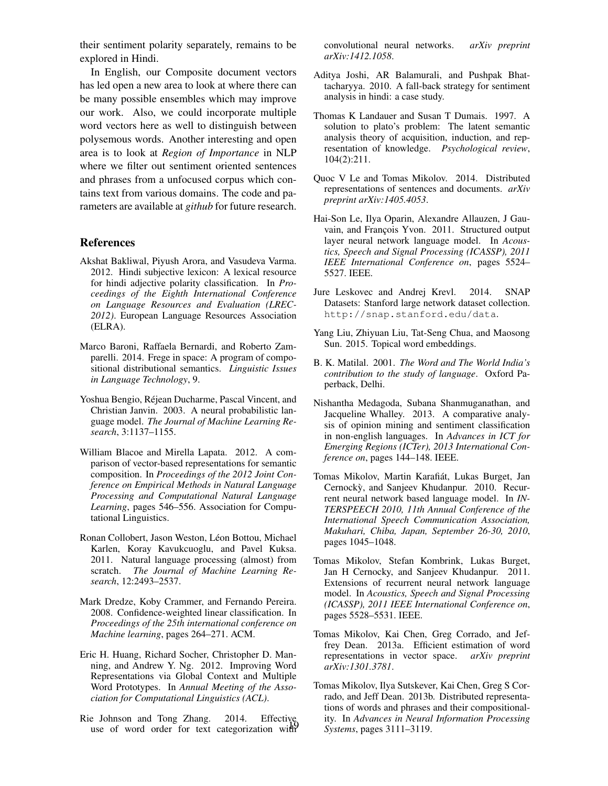their sentiment polarity separately, remains to be explored in Hindi.

In English, our Composite document vectors has led open a new area to look at where there can be many possible ensembles which may improve our work. Also, we could incorporate multiple word vectors here as well to distinguish between polysemous words. Another interesting and open area is to look at *Region of Importance* in NLP where we filter out sentiment oriented sentences and phrases from a unfocused corpus which contains text from various domains. The code and parameters are available at *github* for future research.

## **References**

- Akshat Bakliwal, Piyush Arora, and Vasudeva Varma. 2012. Hindi subjective lexicon: A lexical resource for hindi adjective polarity classification. In *Proceedings of the Eighth International Conference on Language Resources and Evaluation (LREC-2012)*. European Language Resources Association (ELRA).
- Marco Baroni, Raffaela Bernardi, and Roberto Zamparelli. 2014. Frege in space: A program of compositional distributional semantics. *Linguistic Issues in Language Technology*, 9.
- Yoshua Bengio, Rejean Ducharme, Pascal Vincent, and ´ Christian Janvin. 2003. A neural probabilistic language model. *The Journal of Machine Learning Research*, 3:1137–1155.
- William Blacoe and Mirella Lapata. 2012. A comparison of vector-based representations for semantic composition. In *Proceedings of the 2012 Joint Conference on Empirical Methods in Natural Language Processing and Computational Natural Language Learning*, pages 546–556. Association for Computational Linguistics.
- Ronan Collobert, Jason Weston, Léon Bottou, Michael Karlen, Koray Kavukcuoglu, and Pavel Kuksa. 2011. Natural language processing (almost) from scratch. *The Journal of Machine Learning Research*, 12:2493–2537.
- Mark Dredze, Koby Crammer, and Fernando Pereira. 2008. Confidence-weighted linear classification. In *Proceedings of the 25th international conference on Machine learning*, pages 264–271. ACM.
- Eric H. Huang, Richard Socher, Christopher D. Manning, and Andrew Y. Ng. 2012. Improving Word Representations via Global Context and Multiple Word Prototypes. In *Annual Meeting of the Association for Computational Linguistics (ACL)*.
- Rie Johnson and Tong Zhang. 2014. Effective use of word order for text categorization with

convolutional neural networks. *arXiv preprint arXiv:1412.1058*.

- Aditya Joshi, AR Balamurali, and Pushpak Bhattacharyya. 2010. A fall-back strategy for sentiment analysis in hindi: a case study.
- Thomas K Landauer and Susan T Dumais. 1997. A solution to plato's problem: The latent semantic analysis theory of acquisition, induction, and representation of knowledge. *Psychological review*, 104(2):211.
- Quoc V Le and Tomas Mikolov. 2014. Distributed representations of sentences and documents. *arXiv preprint arXiv:1405.4053*.
- Hai-Son Le, Ilya Oparin, Alexandre Allauzen, J Gauvain, and François Yvon. 2011. Structured output layer neural network language model. In *Acoustics, Speech and Signal Processing (ICASSP), 2011 IEEE International Conference on*, pages 5524– 5527. IEEE.
- Jure Leskovec and Andrej Krevl. 2014. SNAP Datasets: Stanford large network dataset collection. http://snap.stanford.edu/data.
- Yang Liu, Zhiyuan Liu, Tat-Seng Chua, and Maosong Sun. 2015. Topical word embeddings.
- B. K. Matilal. 2001. *The Word and The World India's contribution to the study of language*. Oxford Paperback, Delhi.
- Nishantha Medagoda, Subana Shanmuganathan, and Jacqueline Whalley. 2013. A comparative analysis of opinion mining and sentiment classification in non-english languages. In *Advances in ICT for Emerging Regions (ICTer), 2013 International Conference on*, pages 144–148. IEEE.
- Tomas Mikolov, Martin Karafiát, Lukas Burget, Jan Cernocky, and Sanjeev Khudanpur. 2010. Recurrent neural network based language model. In *IN-TERSPEECH 2010, 11th Annual Conference of the International Speech Communication Association, Makuhari, Chiba, Japan, September 26-30, 2010*, pages 1045–1048.
- Tomas Mikolov, Stefan Kombrink, Lukas Burget, Jan H Cernocky, and Sanjeev Khudanpur. 2011. Extensions of recurrent neural network language model. In *Acoustics, Speech and Signal Processing (ICASSP), 2011 IEEE International Conference on*, pages 5528–5531. IEEE.
- Tomas Mikolov, Kai Chen, Greg Corrado, and Jeffrey Dean. 2013a. Efficient estimation of word representations in vector space. *arXiv preprint arXiv:1301.3781*.
- Tomas Mikolov, Ilya Sutskever, Kai Chen, Greg S Corrado, and Jeff Dean. 2013b. Distributed representations of words and phrases and their compositionality. In *Advances in Neural Information Processing Systems*, pages 3111–3119.